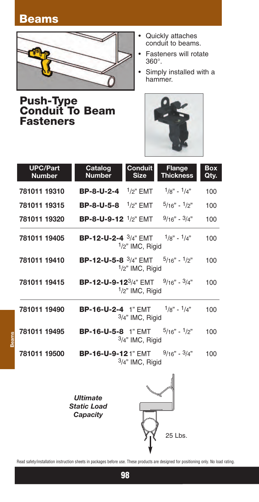## **Beams**

**Beams**



**Push-Type Conduit To Beam Fasteners**

- Quickly attaches conduit to beams.
- Fasteners will rotate 360°.
- Simply installed with a hammer.



| <b>UPC/Part</b><br><b>Number</b> | <b>Catalog</b><br><b>Number</b>                                           | <b>Conduit</b><br><b>Size</b> | <b>Flange</b><br><b>Thickness</b> | <b>Box</b><br>Qty. |
|----------------------------------|---------------------------------------------------------------------------|-------------------------------|-----------------------------------|--------------------|
| 781011 19310                     | <b>BP-8-U-2-4</b> $\frac{1}{2}$ " EMT                                     |                               | $1/g'' - 1/4''$                   | 100                |
| 781011 19315                     | <b>BP-8-U-5-8</b> $\frac{1}{2}$ " EMT                                     |                               | $5/16" - 1/2"$                    | 100                |
| 781011 19320                     | <b>BP-8-U-9-12</b> $\frac{1}{2}$ " EMT                                    |                               | $9/16" - 3/4"$                    | 100                |
| 781011 19405                     | <b>BP-12-U-2-4</b> $\frac{3}{4}$ " EMT $\frac{1}{8}$ " - $\frac{1}{4}$ "  | $1/2$ " IMC, Rigid            |                                   | 100                |
| 781011 19410                     | <b>BP-12-U-5-8</b> $\frac{3}{4}$ " EMT $\frac{5}{16}$ " - $\frac{1}{2}$ " | $1/2$ " IMC, Rigid            |                                   | 100                |
| 781011 19415                     | <b>BP-12-U-9-12</b> $3/4$ " EMT $9/16$ " - $3/4$ "                        | 1/2" IMC, Rigid               |                                   | 100                |
| 781011 19490                     | <b>BP-16-U-2-4</b> 1" EMT $1/8$ " - $1/4$ "                               | $3/4$ " IMC, Rigid            |                                   | 100                |
| 781011 19495                     | <b>BP-16-U-5-8</b> 1" EMT $5/16$ " - $1/2$ "                              | $3/4$ " IMC, Rigid            |                                   | 100                |
| 781011 19500                     | <b>BP-16-U-9-121" EMT</b>                                                 | $3/4$ " IMC, Rigid            | $9/16" - 3/4"$                    | 100                |
|                                  | <b>Ultimate</b><br><b>Static Load</b><br>Capacity                         |                               |                                   |                    |

Read safety/installation instruction sheets in packages before use. These products are designed for positioning only. No load rating.

25 Lbs.